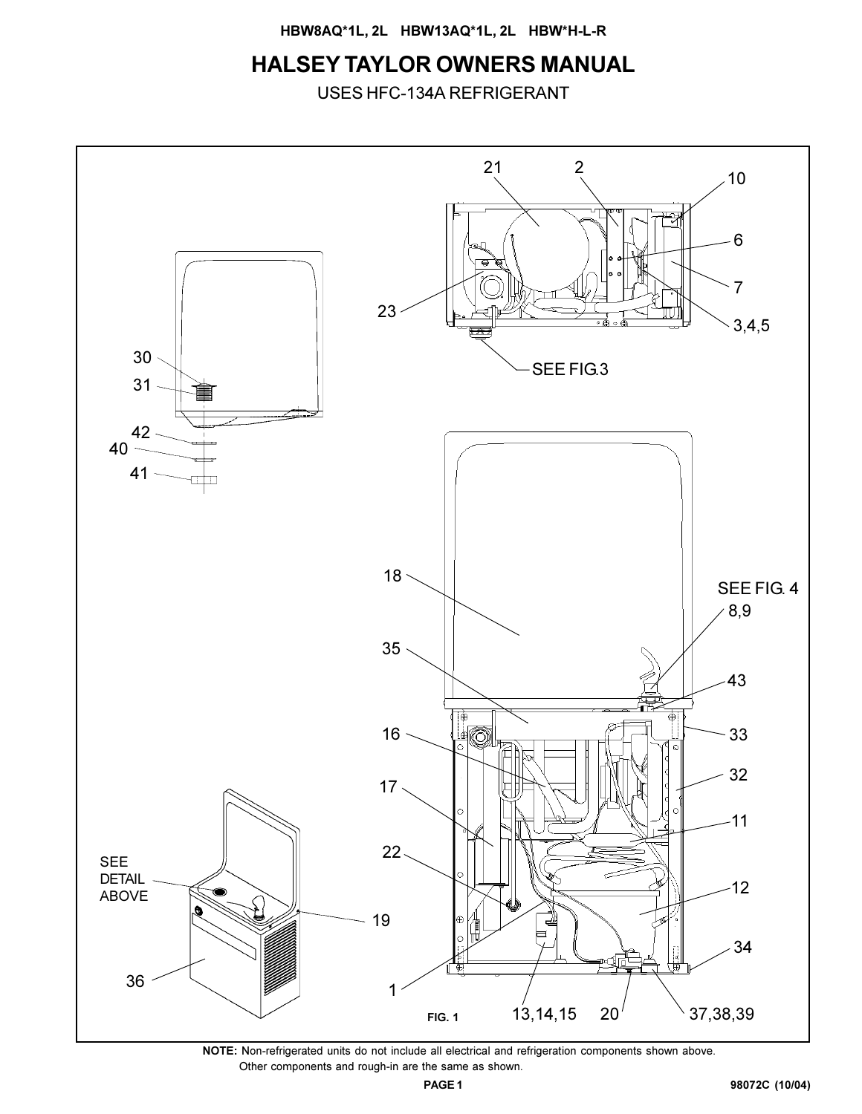**HBW8AQ\*1L, 2L HBW13AQ\*1L, 2L HBW\*H-L-R**

# **HALSEY TAYLOR OWNERS MANUAL**

USES HFC-134A REFRIGERANT



**NOTE:** Non-refrigerated units do not include all electrical and refrigeration components shown above. Other components and rough-in are the same as shown.

**98072C (10/04)**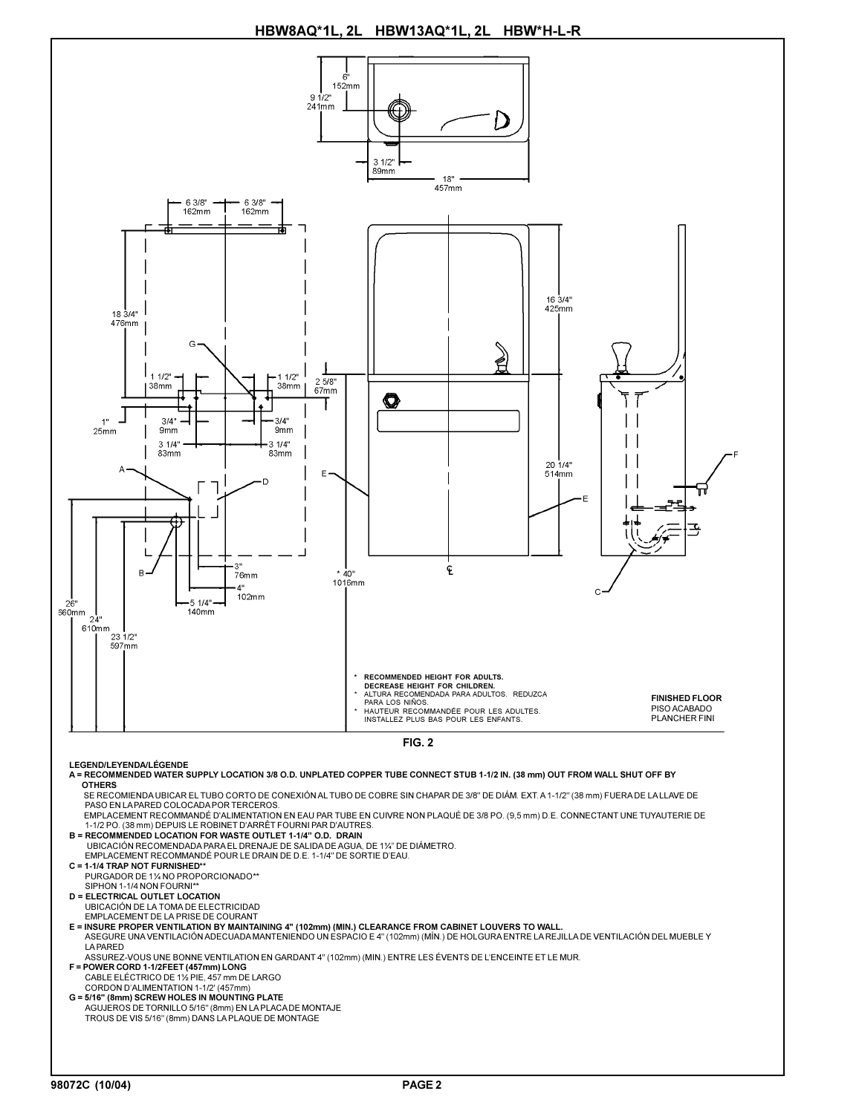**HBW8AQ\*1L, 2L HBW13AQ\*1L, 2L HBW\*H-L-R**

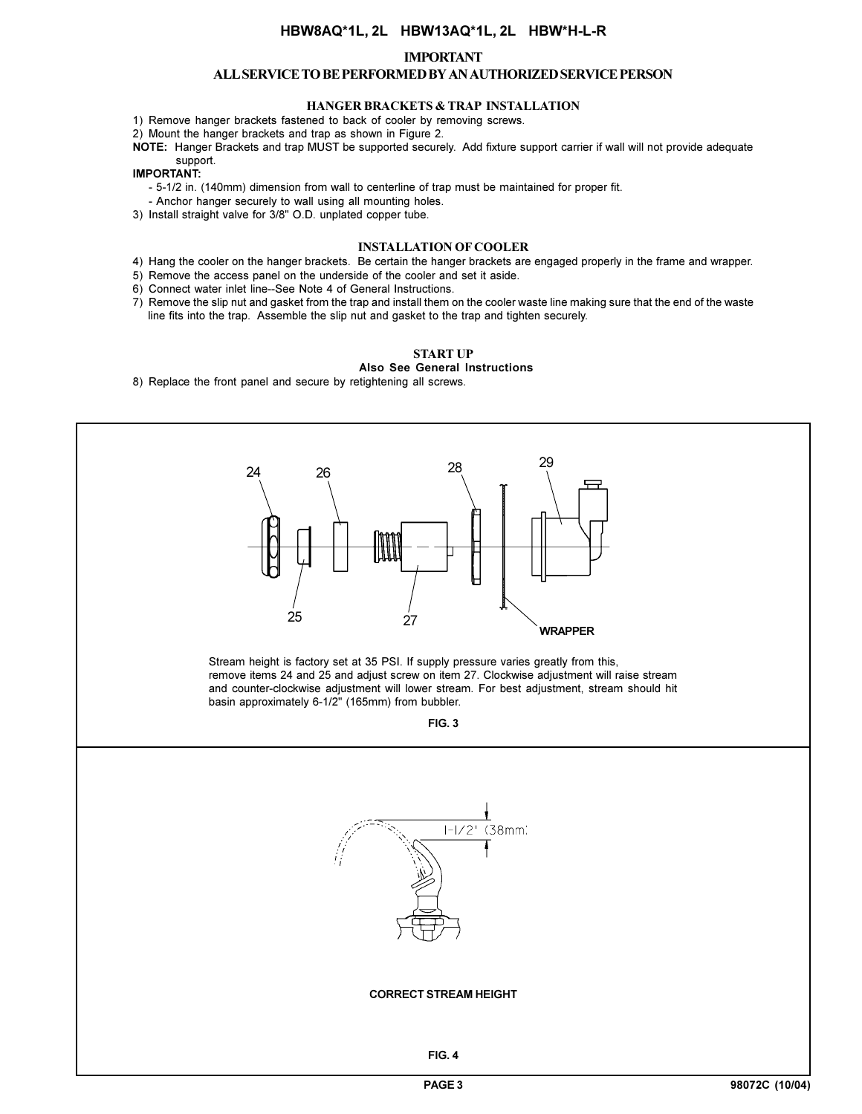### **HBW8AQ\*1L, 2L HBW13AQ\*1L, 2L HBW\*H-L-R**

#### **IMPORTANT**

#### **ALL SERVICE TO BE PERFORMED BY AN AUTHORIZED SERVICE PERSON**

#### **HANGER BRACKETS & TRAP INSTALLATION**

1) Remove hanger brackets fastened to back of cooler by removing screws.

2) Mount the hanger brackets and trap as shown in Figure 2.

**NOTE:** Hanger Brackets and trap MUST be supported securely. Add fixture support carrier if wall will not provide adequate support.

#### **IMPORTANT:**

- 5-1/2 in. (140mm) dimension from wall to centerline of trap must be maintained for proper fit.

- Anchor hanger securely to wall using all mounting holes.
- 3) Install straight valve for 3/8" O.D. unplated copper tube.

#### **INSTALLATION OF COOLER**

- 4) Hang the cooler on the hanger brackets. Be certain the hanger brackets are engaged properly in the frame and wrapper.
- 5) Remove the access panel on the underside of the cooler and set it aside.
- 6) Connect water inlet line--See Note 4 of General Instructions.
- 7) Remove the slip nut and gasket from the trap and install them on the cooler waste line making sure that the end of the waste line fits into the trap. Assemble the slip nut and gasket to the trap and tighten securely.

#### **START UP**

**Also See General Instructions**

8) Replace the front panel and secure by retightening all screws.